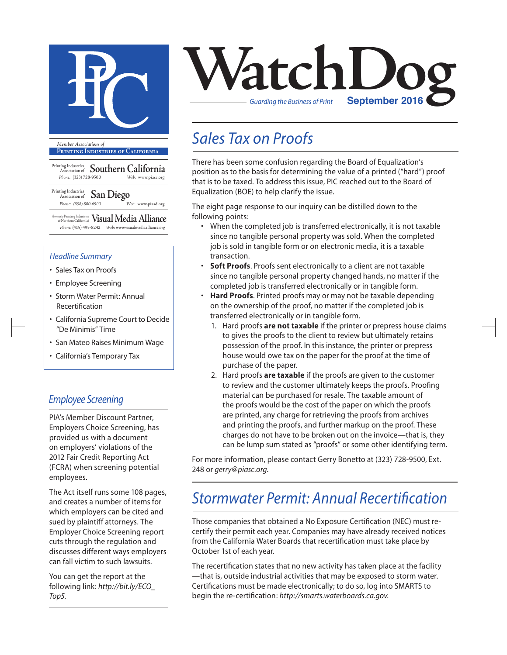

**Printing Industries of California**

Printing Industries Association of **Southern California** *Phone:* (323) 728-9500 *Web:* www.piasc.org

#### Printing Industries Association of **San Diego** *Phone: (858) 800-6900 Web:* www.piasd.org

(formerly Printing Industries of Northern California) **Visual Media Alliance** *Phone:* (415) 495-8242 *Web:* www.visualmediaalliance.org

#### *Headline Summary*

- Sales Tax on Proofs
- Employee Screening
- Storm Water Permit: Annual Recertification
- California Supreme Court to Decide "De Minimis" Time
- San Mateo Raises Minimum Wage
- California's Temporary Tax

#### *Employee Screening*

PIA's Member Discount Partner, Employers Choice Screening, has provided us with a document on employers' violations of the 2012 Fair Credit Reporting Act (FCRA) when screening potential employees.

The Act itself runs some 108 pages, and creates a number of items for which employers can be cited and sued by plaintiff attorneys. The Employer Choice Screening report cuts through the regulation and discusses different ways employers can fall victim to such lawsuits.

You can get the report at the following link: *http://bit.ly/ECO\_ Top5.*



### *Sales Tax on Proofs*

There has been some confusion regarding the Board of Equalization's position as to the basis for determining the value of a printed ("hard") proof that is to be taxed. To address this issue, PIC reached out to the Board of Equalization (BOE) to help clarify the issue.

The eight page response to our inquiry can be distilled down to the following points:

- When the completed job is transferred electronically, it is not taxable since no tangible personal property was sold. When the completed job is sold in tangible form or on electronic media, it is a taxable transaction.
- **Soft Proofs**. Proofs sent electronically to a client are not taxable since no tangible personal property changed hands, no matter if the completed job is transferred electronically or in tangible form.
- **Hard Proofs**. Printed proofs may or may not be taxable depending on the ownership of the proof, no matter if the completed job is transferred electronically or in tangible form.
	- 1. Hard proofs **are not taxable** if the printer or prepress house claims to gives the proofs to the client to review but ultimately retains possession of the proof. In this instance, the printer or prepress house would owe tax on the paper for the proof at the time of purchase of the paper.
	- 2. Hard proofs **are taxable** if the proofs are given to the customer to review and the customer ultimately keeps the proofs. Proofing material can be purchased for resale. The taxable amount of the proofs would be the cost of the paper on which the proofs are printed, any charge for retrieving the proofs from archives and printing the proofs, and further markup on the proof. These charges do not have to be broken out on the invoice—that is, they can be lump sum stated as "proofs" or some other identifying term.

For more information, please contact Gerry Bonetto at (323) 728-9500, Ext. 248 or *gerry@piasc.org*.

### *Stormwater Permit: Annual Recertification*

Those companies that obtained a No Exposure Certification (NEC) must recertify their permit each year. Companies may have already received notices from the California Water Boards that recertification must take place by October 1st of each year.

The recertification states that no new activity has taken place at the facility —that is, outside industrial activities that may be exposed to storm water. Certifications must be made electronically; to do so, log into SMARTS to begin the re-certification: *http://smarts.waterboards.ca.gov*.